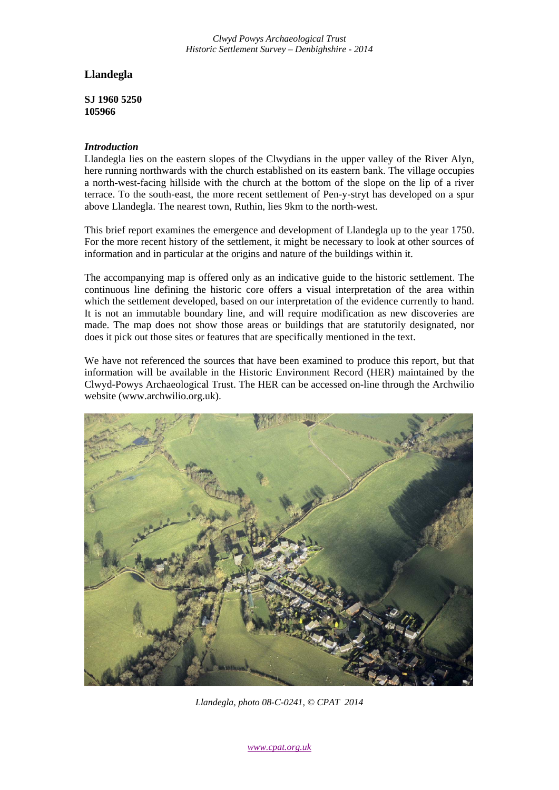*Clwyd Powys Archaeological Trust Historic Settlement Survey – Denbighshire - 2014*

# **Llandegla**

**SJ 1960 5250 105966**

## *Introduction*

Llandegla lies on the eastern slopes of the Clwydians in the upper valley of the River Alyn, here running northwards with the church established on its eastern bank. The village occupies a north-west-facing hillside with the church at the bottom of the slope on the lip of a river terrace. To the south-east, the more recent settlement of Pen-y-stryt has developed on a spur above Llandegla. The nearest town, Ruthin, lies 9km to the north-west.

This brief report examines the emergence and development of Llandegla up to the year 1750. For the more recent history of the settlement, it might be necessary to look at other sources of information and in particular at the origins and nature of the buildings within it.

The accompanying map is offered only as an indicative guide to the historic settlement. The continuous line defining the historic core offers a visual interpretation of the area within which the settlement developed, based on our interpretation of the evidence currently to hand. It is not an immutable boundary line, and will require modification as new discoveries are made. The map does not show those areas or buildings that are statutorily designated, nor does it pick out those sites or features that are specifically mentioned in the text.

We have not referenced the sources that have been examined to produce this report, but that information will be available in the Historic Environment Record (HER) maintained by the Clwyd-Powys Archaeological Trust. The HER can be accessed on-line through the Archwilio website (www.archwilio.org.uk).



*Llandegla, photo 08-C-0241, © CPAT 2014*

*www.cpat.org.uk*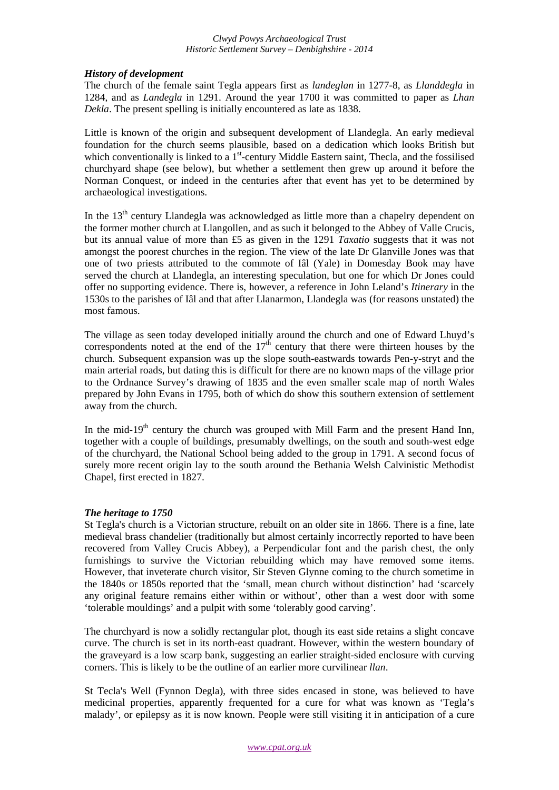#### *Clwyd Powys Archaeological Trust Historic Settlement Survey – Denbighshire - 2014*

## *History of development*

The church of the female saint Tegla appears first as *landeglan* in 1277-8, as *Llanddegla* in 1284, and as *Landegla* in 1291. Around the year 1700 it was committed to paper as *Lhan Dekla*. The present spelling is initially encountered as late as 1838.

Little is known of the origin and subsequent development of Llandegla. An early medieval foundation for the church seems plausible, based on a dedication which looks British but which conventionally is linked to a  $1<sup>st</sup>$ -century Middle Eastern saint, Thecla, and the fossilised churchyard shape (see below), but whether a settlement then grew up around it before the Norman Conquest, or indeed in the centuries after that event has yet to be determined by archaeological investigations.

In the 13<sup>th</sup> century Llandegla was acknowledged as little more than a chapelry dependent on the former mother church at Llangollen, and as such it belonged to the Abbey of Valle Crucis, but its annual value of more than £5 as given in the 1291 *Taxatio* suggests that it was not amongst the poorest churches in the region. The view of the late Dr Glanville Jones was that one of two priests attributed to the commote of Iâl (Yale) in Domesday Book may have served the church at Llandegla, an interesting speculation, but one for which Dr Jones could offer no supporting evidence. There is, however, a reference in John Leland's *Itinerary* in the 1530s to the parishes of Iâl and that after Llanarmon, Llandegla was (for reasons unstated) the most famous.

The village as seen today developed initially around the church and one of Edward Lhuyd's correspondents noted at the end of the  $17<sup>th</sup>$  century that there were thirteen houses by the church. Subsequent expansion was up the slope south-eastwards towards Pen-y-stryt and the main arterial roads, but dating this is difficult for there are no known maps of the village prior to the Ordnance Survey's drawing of 1835 and the even smaller scale map of north Wales prepared by John Evans in 1795, both of which do show this southern extension of settlement away from the church.

In the mid-19<sup>th</sup> century the church was grouped with Mill Farm and the present Hand Inn, together with a couple of buildings, presumably dwellings, on the south and south-west edge of the churchyard, the National School being added to the group in 1791. A second focus of surely more recent origin lay to the south around the Bethania Welsh Calvinistic Methodist Chapel, first erected in 1827.

## *The heritage to 1750*

St Tegla's church is a Victorian structure, rebuilt on an older site in 1866. There is a fine, late medieval brass chandelier (traditionally but almost certainly incorrectly reported to have been recovered from Valley Crucis Abbey), a Perpendicular font and the parish chest, the only furnishings to survive the Victorian rebuilding which may have removed some items. However, that inveterate church visitor, Sir Steven Glynne coming to the church sometime in the 1840s or 1850s reported that the 'small, mean church without distinction' had 'scarcely any original feature remains either within or without', other than a west door with some 'tolerable mouldings' and a pulpit with some 'tolerably good carving'.

The churchyard is now a solidly rectangular plot, though its east side retains a slight concave curve. The church is set in its north-east quadrant. However, within the western boundary of the graveyard is a low scarp bank, suggesting an earlier straight-sided enclosure with curving corners. This is likely to be the outline of an earlier more curvilinear *llan*.

St Tecla's Well (Fynnon Degla), with three sides encased in stone, was believed to have medicinal properties, apparently frequented for a cure for what was known as 'Tegla's malady', or epilepsy as it is now known. People were still visiting it in anticipation of a cure